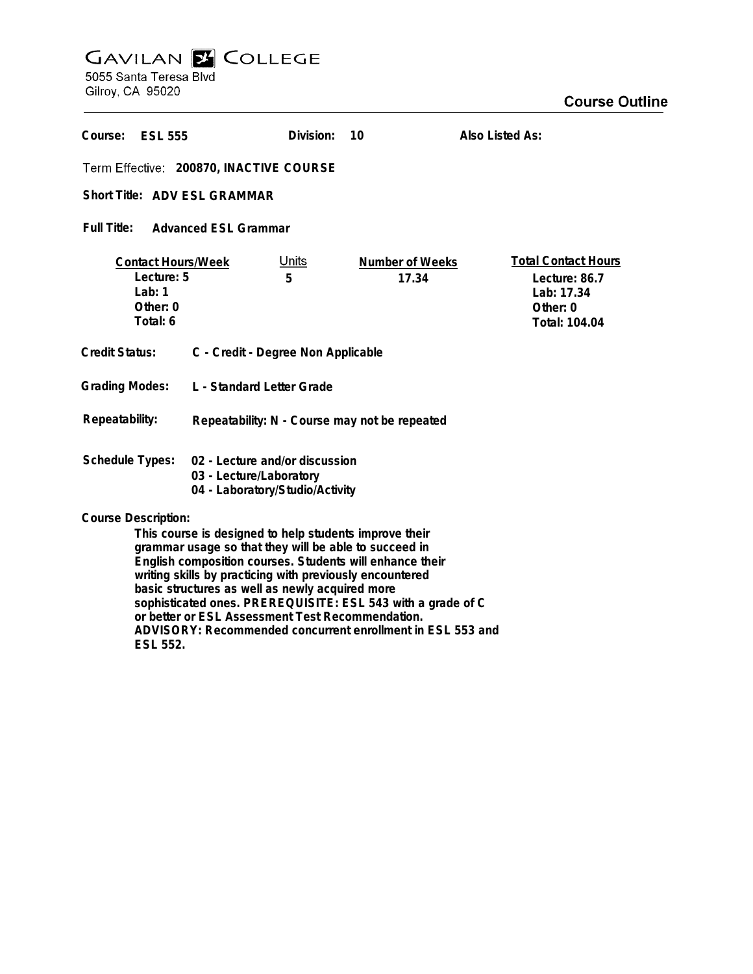# **GAVILAN E COLLEGE**<br>5055 Santa Teresa Blvd

Gilroy, CA 95020

| Course:<br><b>ESL 555</b>                                                                                                                                                                                                                                                                                                |                                               | Division:         | 10                       | Also Listed As:                                                                        |
|--------------------------------------------------------------------------------------------------------------------------------------------------------------------------------------------------------------------------------------------------------------------------------------------------------------------------|-----------------------------------------------|-------------------|--------------------------|----------------------------------------------------------------------------------------|
| Term Effective: 200870, INACTIVE COURSE                                                                                                                                                                                                                                                                                  |                                               |                   |                          |                                                                                        |
| Short Title: ADV ESL GRAMMAR                                                                                                                                                                                                                                                                                             |                                               |                   |                          |                                                                                        |
| <b>Full Title:</b><br><b>Advanced ESL Grammar</b>                                                                                                                                                                                                                                                                        |                                               |                   |                          |                                                                                        |
| <b>Contact Hours/Week</b><br>Lecture: 5<br>Lab: $1$<br>Other: 0<br>Total: 6                                                                                                                                                                                                                                              |                                               | <u>Units</u><br>5 | Number of Weeks<br>17.34 | <b>Total Contact Hours</b><br>Lecture: 86.7<br>Lab: 17.34<br>Other: 0<br>Total: 104.04 |
| <b>Credit Status:</b>                                                                                                                                                                                                                                                                                                    | C - Credit - Degree Non Applicable            |                   |                          |                                                                                        |
| <b>Grading Modes:</b>                                                                                                                                                                                                                                                                                                    | L - Standard Letter Grade                     |                   |                          |                                                                                        |
| Repeatability:                                                                                                                                                                                                                                                                                                           | Repeatability: N - Course may not be repeated |                   |                          |                                                                                        |
| <b>Schedule Types:</b><br>02 - Lecture and/or discussion<br>03 - Lecture/Laboratory<br>04 - Laboratory/Studio/Activity                                                                                                                                                                                                   |                                               |                   |                          |                                                                                        |
| <b>Course Description:</b><br>This course is designed to help students improve their<br>grammar usage so that they will be able to succeed in<br>English composition courses. Students will enhance their<br>writing skills by practicing with previously encountered<br>basic structures as well as newly acquired more |                                               |                   |                          |                                                                                        |

**sophisticated ones. PREREQUISITE: ESL 543 with a grade of C**

**or better or ESL Assessment Test Recommendation. ADVISORY: Recommended concurrent enrollment in ESL 553 and ESL 552.**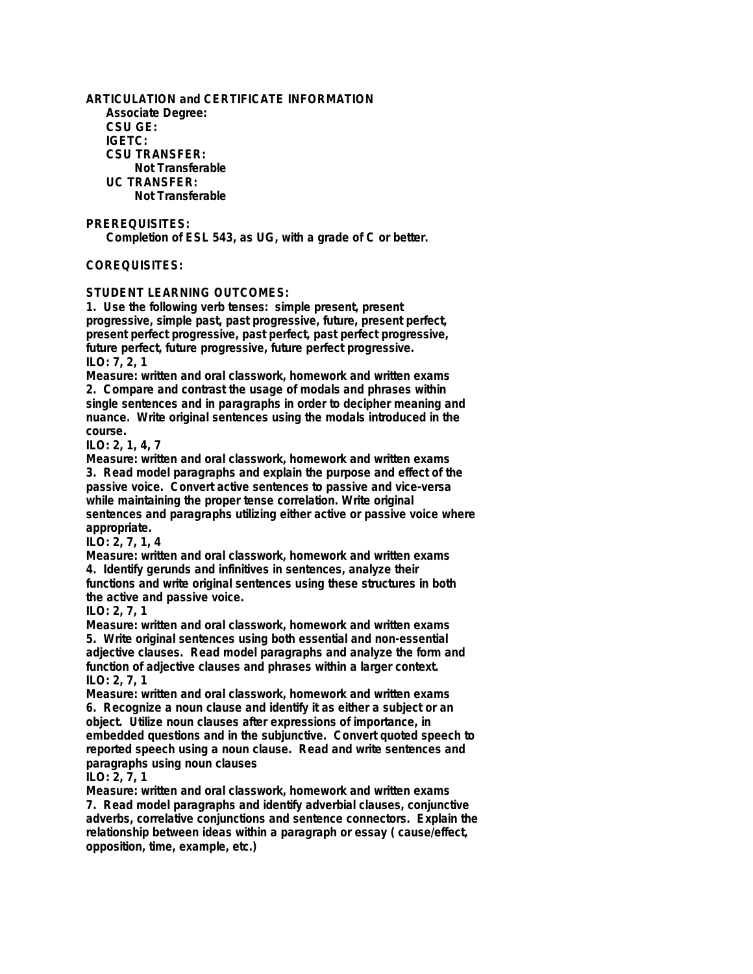**ARTICULATION and CERTIFICATE INFORMATION Associate Degree: CSU GE: IGETC: CSU TRANSFER: Not Transferable UC TRANSFER: Not Transferable**

**PREREQUISITES:**

**Completion of ESL 543, as UG, with a grade of C or better.**

## **COREQUISITES:**

**STUDENT LEARNING OUTCOMES:**

**1. Use the following verb tenses: simple present, present progressive, simple past, past progressive, future, present perfect, present perfect progressive, past perfect, past perfect progressive, future perfect, future progressive, future perfect progressive. ILO: 7, 2, 1**

**Measure: written and oral classwork, homework and written exams 2. Compare and contrast the usage of modals and phrases within single sentences and in paragraphs in order to decipher meaning and nuance. Write original sentences using the modals introduced in the course.**

#### **ILO: 2, 1, 4, 7**

**Measure: written and oral classwork, homework and written exams 3. Read model paragraphs and explain the purpose and effect of the passive voice. Convert active sentences to passive and vice-versa while maintaining the proper tense correlation. Write original sentences and paragraphs utilizing either active or passive voice where appropriate.**

#### **ILO: 2, 7, 1, 4**

**Measure: written and oral classwork, homework and written exams 4. Identify gerunds and infinitives in sentences, analyze their functions and write original sentences using these structures in both the active and passive voice.**

#### **ILO: 2, 7, 1**

**Measure: written and oral classwork, homework and written exams 5. Write original sentences using both essential and non-essential adjective clauses. Read model paragraphs and analyze the form and function of adjective clauses and phrases within a larger context. ILO: 2, 7, 1**

**Measure: written and oral classwork, homework and written exams 6. Recognize a noun clause and identify it as either a subject or an object. Utilize noun clauses after expressions of importance, in embedded questions and in the subjunctive. Convert quoted speech to reported speech using a noun clause. Read and write sentences and paragraphs using noun clauses**

### **ILO: 2, 7, 1**

**Measure: written and oral classwork, homework and written exams 7. Read model paragraphs and identify adverbial clauses, conjunctive adverbs, correlative conjunctions and sentence connectors. Explain the relationship between ideas within a paragraph or essay ( cause/effect, opposition, time, example, etc.)**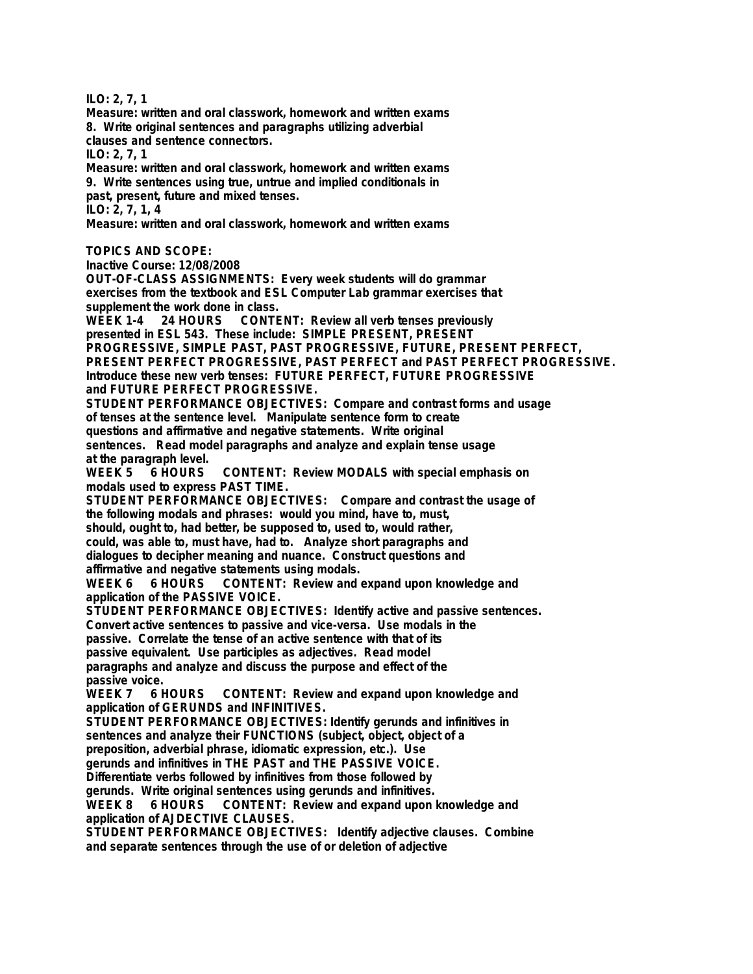**ILO: 2, 7, 1**

**Measure: written and oral classwork, homework and written exams 8. Write original sentences and paragraphs utilizing adverbial clauses and sentence connectors. ILO: 2, 7, 1**

**Measure: written and oral classwork, homework and written exams 9. Write sentences using true, untrue and implied conditionals in past, present, future and mixed tenses. ILO: 2, 7, 1, 4**

**Measure: written and oral classwork, homework and written exams**

**TOPICS AND SCOPE:**

**Inactive Course: 12/08/2008**

**OUT-OF-CLASS ASSIGNMENTS: Every week students will do grammar exercises from the textbook and ESL Computer Lab grammar exercises that supplement the work done in class.**

**WEEK 1-4 24 HOURS CONTENT: Review all verb tenses previously presented in ESL 543. These include: SIMPLE PRESENT, PRESENT**

**PROGRESSIVE, SIMPLE PAST, PAST PROGRESSIVE, FUTURE, PRESENT PERFECT, PRESENT PERFECT PROGRESSIVE, PAST PERFECT and PAST PERFECT PROGRESSIVE. Introduce these new verb tenses: FUTURE PERFECT, FUTURE PROGRESSIVE and FUTURE PERFECT PROGRESSIVE.**

**STUDENT PERFORMANCE OBJECTIVES: Compare and contrast forms and usage of tenses at the sentence level. Manipulate sentence form to create questions and affirmative and negative statements. Write original sentences. Read model paragraphs and analyze and explain tense usage**

**at the paragraph level.** CONTENT: Review MODALS with special emphasis on **modals used to express PAST TIME.**

**STUDENT PERFORMANCE OBJECTIVES: Compare and contrast the usage of the following modals and phrases: would you mind, have to, must,**

**should, ought to, had better, be supposed to, used to, would rather,**

**could, was able to, must have, had to. Analyze short paragraphs and dialogues to decipher meaning and nuance. Construct questions and**

**affirmative and negative statements using modals.**

**WEEK 6 6 HOURS CONTENT: Review and expand upon knowledge and application of the PASSIVE VOICE.**

**STUDENT PERFORMANCE OBJECTIVES: Identify active and passive sentences.**

**Convert active sentences to passive and vice-versa. Use modals in the passive. Correlate the tense of an active sentence with that of its**

**passive equivalent. Use participles as adjectives. Read model**

**paragraphs and analyze and discuss the purpose and effect of the passive voice.**

**WEEK 7 6 HOURS CONTENT: Review and expand upon knowledge and application of GERUNDS and INFINITIVES.**

**STUDENT PERFORMANCE OBJECTIVES: Identify gerunds and infinitives in sentences and analyze their FUNCTIONS (subject, object, object of a preposition, adverbial phrase, idiomatic expression, etc.). Use**

**gerunds and infinitives in THE PAST and THE PASSIVE VOICE.**

**Differentiate verbs followed by infinitives from those followed by**

**gerunds. Write original sentences using gerunds and infinitives.**

**WEEK 8 6 HOURS CONTENT: Review and expand upon knowledge and application of AJDECTIVE CLAUSES.**

**STUDENT PERFORMANCE OBJECTIVES: Identify adjective clauses. Combine and separate sentences through the use of or deletion of adjective**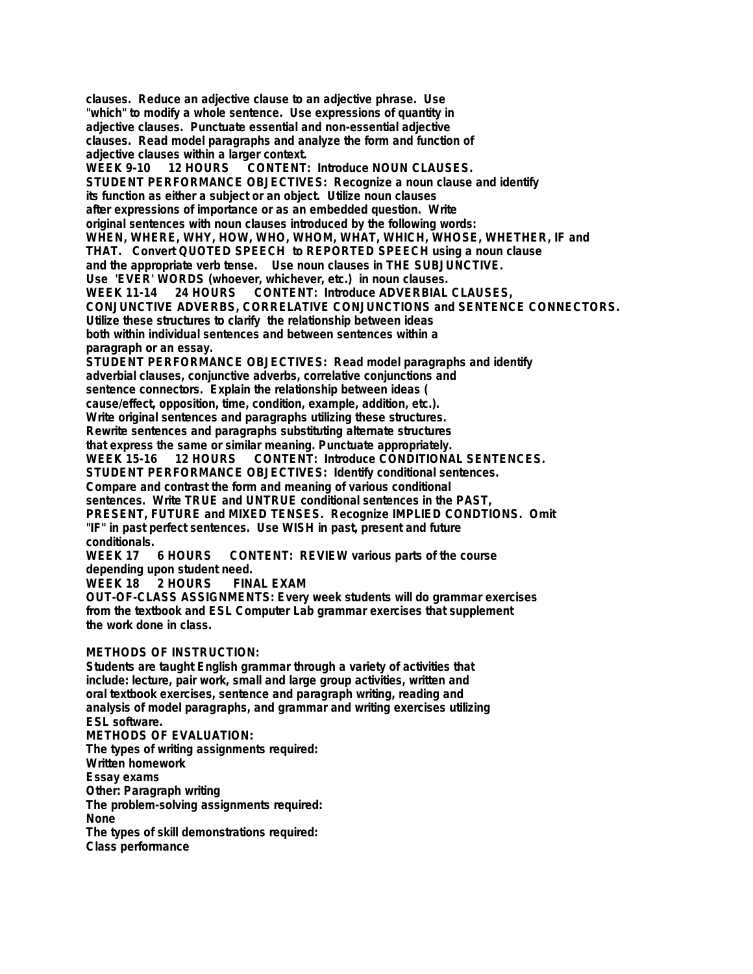**clauses. Reduce an adjective clause to an adjective phrase. Use "which" to modify a whole sentence. Use expressions of quantity in adjective clauses. Punctuate essential and non-essential adjective clauses. Read model paragraphs and analyze the form and function of adjective clauses within a larger context.** CONTENT: Introduce NOUN CLAUSES. **STUDENT PERFORMANCE OBJECTIVES: Recognize a noun clause and identify its function as either a subject or an object. Utilize noun clauses after expressions of importance or as an embedded question. Write original sentences with noun clauses introduced by the following words: WHEN, WHERE, WHY, HOW, WHO, WHOM, WHAT, WHICH, WHOSE, WHETHER, IF and THAT. Convert QUOTED SPEECH to REPORTED SPEECH using a noun clause and the appropriate verb tense. Use noun clauses in THE SUBJUNCTIVE. Use 'EVER' WORDS (whoever, whichever, etc.) in noun clauses. WEEK 11-14 24 HOURS CONTENT: Introduce ADVERBIAL CLAUSES, CONJUNCTIVE ADVERBS, CORRELATIVE CONJUNCTIONS and SENTENCE CONNECTORS. Utilize these structures to clarify the relationship between ideas both within individual sentences and between sentences within a paragraph or an essay. STUDENT PERFORMANCE OBJECTIVES: Read model paragraphs and identify adverbial clauses, conjunctive adverbs, correlative conjunctions and sentence connectors. Explain the relationship between ideas ( cause/effect, opposition, time, condition, example, addition, etc.). Write original sentences and paragraphs utilizing these structures. Rewrite sentences and paragraphs substituting alternate structures that express the same or similar meaning. Punctuate appropriately.** CONTENT: Introduce CONDITIONAL SENTENCES. **STUDENT PERFORMANCE OBJECTIVES: Identify conditional sentences. Compare and contrast the form and meaning of various conditional sentences. Write TRUE and UNTRUE conditional sentences in the PAST, PRESENT, FUTURE and MIXED TENSES. Recognize IMPLIED CONDTIONS. Omit "IF" in past perfect sentences. Use WISH in past, present and future conditionals. WEEK 17 6 HOURS CONTENT: REVIEW various parts of the course depending upon student need.** WEEK 18 2 HOURS **OUT-OF-CLASS ASSIGNMENTS: Every week students will do grammar exercises from the textbook and ESL Computer Lab grammar exercises that supplement the work done in class.**

#### **METHODS OF INSTRUCTION:**

**Students are taught English grammar through a variety of activities that include: lecture, pair work, small and large group activities, written and oral textbook exercises, sentence and paragraph writing, reading and analysis of model paragraphs, and grammar and writing exercises utilizing ESL software.**

**METHODS OF EVALUATION: The types of writing assignments required: Written homework Essay exams Other: Paragraph writing The problem-solving assignments required: None The types of skill demonstrations required: Class performance**